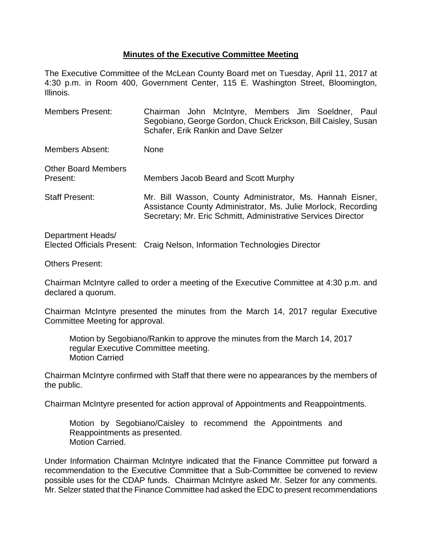## **Minutes of the Executive Committee Meeting**

The Executive Committee of the McLean County Board met on Tuesday, April 11, 2017 at 4:30 p.m. in Room 400, Government Center, 115 E. Washington Street, Bloomington, Illinois.

Members Present: Chairman John McIntyre, Members Jim Soeldner, Paul Segobiano, George Gordon, Chuck Erickson, Bill Caisley, Susan Schafer, Erik Rankin and Dave Selzer Members Absent: None Other Board Members Present: Members Jacob Beard and Scott Murphy Staff Present: Mr. Bill Wasson, County Administrator, Ms. Hannah Eisner, Assistance County Administrator, Ms. Julie Morlock, Recording Secretary; Mr. Eric Schmitt, Administrative Services Director Department Heads/

Elected Officials Present: Craig Nelson, Information Technologies Director

Others Present:

Chairman McIntyre called to order a meeting of the Executive Committee at 4:30 p.m. and declared a quorum.

Chairman McIntyre presented the minutes from the March 14, 2017 regular Executive Committee Meeting for approval.

Motion by Segobiano/Rankin to approve the minutes from the March 14, 2017 regular Executive Committee meeting. Motion Carried

Chairman McIntyre confirmed with Staff that there were no appearances by the members of the public.

Chairman McIntyre presented for action approval of Appointments and Reappointments.

Motion by Segobiano/Caisley to recommend the Appointments and Reappointments as presented. Motion Carried.

Under Information Chairman McIntyre indicated that the Finance Committee put forward a recommendation to the Executive Committee that a Sub-Committee be convened to review possible uses for the CDAP funds. Chairman McIntyre asked Mr. Selzer for any comments. Mr. Selzer stated that the Finance Committee had asked the EDC to present recommendations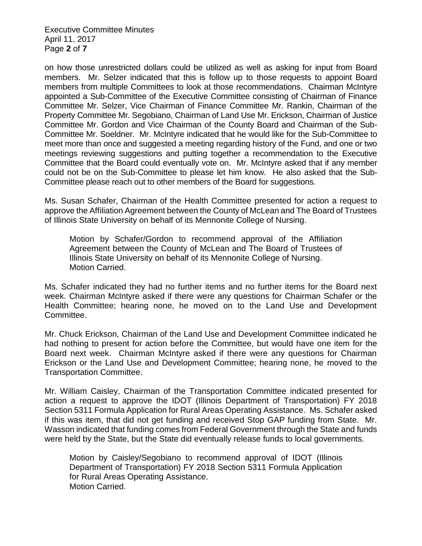Executive Committee Minutes April 11, 2017 Page **2** of **7**

on how those unrestricted dollars could be utilized as well as asking for input from Board members. Mr. Selzer indicated that this is follow up to those requests to appoint Board members from multiple Committees to look at those recommendations. Chairman McIntyre appointed a Sub-Committee of the Executive Committee consisting of Chairman of Finance Committee Mr. Selzer, Vice Chairman of Finance Committee Mr. Rankin, Chairman of the Property Committee Mr. Segobiano, Chairman of Land Use Mr. Erickson, Chairman of Justice Committee Mr. Gordon and Vice Chairman of the County Board and Chairman of the Sub-Committee Mr. Soeldner. Mr. McIntyre indicated that he would like for the Sub-Committee to meet more than once and suggested a meeting regarding history of the Fund, and one or two meetings reviewing suggestions and putting together a recommendation to the Executive Committee that the Board could eventually vote on. Mr. McIntyre asked that if any member could not be on the Sub-Committee to please let him know. He also asked that the Sub-Committee please reach out to other members of the Board for suggestions.

Ms. Susan Schafer, Chairman of the Health Committee presented for action a request to approve the Affiliation Agreement between the County of McLean and The Board of Trustees of Illinois State University on behalf of its Mennonite College of Nursing.

Motion by Schafer/Gordon to recommend approval of the Affiliation Agreement between the County of McLean and The Board of Trustees of Illinois State University on behalf of its Mennonite College of Nursing. Motion Carried.

Ms. Schafer indicated they had no further items and no further items for the Board next week. Chairman McIntyre asked if there were any questions for Chairman Schafer or the Health Committee; hearing none, he moved on to the Land Use and Development Committee.

Mr. Chuck Erickson, Chairman of the Land Use and Development Committee indicated he had nothing to present for action before the Committee, but would have one item for the Board next week. Chairman McIntyre asked if there were any questions for Chairman Erickson or the Land Use and Development Committee; hearing none, he moved to the Transportation Committee.

Mr. William Caisley, Chairman of the Transportation Committee indicated presented for action a request to approve the IDOT (Illinois Department of Transportation) FY 2018 Section 5311 Formula Application for Rural Areas Operating Assistance. Ms. Schafer asked if this was item, that did not get funding and received Stop GAP funding from State. Mr. Wasson indicated that funding comes from Federal Government through the State and funds were held by the State, but the State did eventually release funds to local governments.

Motion by Caisley/Segobiano to recommend approval of IDOT (Illinois Department of Transportation) FY 2018 Section 5311 Formula Application for Rural Areas Operating Assistance. Motion Carried.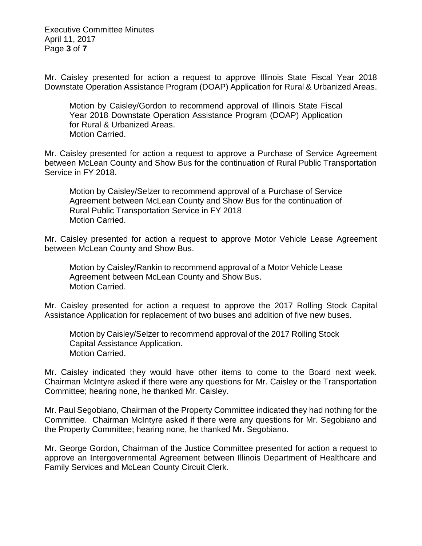Executive Committee Minutes April 11, 2017 Page **3** of **7**

Mr. Caisley presented for action a request to approve Illinois State Fiscal Year 2018 Downstate Operation Assistance Program (DOAP) Application for Rural & Urbanized Areas.

Motion by Caisley/Gordon to recommend approval of Illinois State Fiscal Year 2018 Downstate Operation Assistance Program (DOAP) Application for Rural & Urbanized Areas. Motion Carried.

Mr. Caisley presented for action a request to approve a Purchase of Service Agreement between McLean County and Show Bus for the continuation of Rural Public Transportation Service in FY 2018.

Motion by Caisley/Selzer to recommend approval of a Purchase of Service Agreement between McLean County and Show Bus for the continuation of Rural Public Transportation Service in FY 2018 Motion Carried.

Mr. Caisley presented for action a request to approve Motor Vehicle Lease Agreement between McLean County and Show Bus.

Motion by Caisley/Rankin to recommend approval of a Motor Vehicle Lease Agreement between McLean County and Show Bus. Motion Carried.

Mr. Caisley presented for action a request to approve the 2017 Rolling Stock Capital Assistance Application for replacement of two buses and addition of five new buses.

Motion by Caisley/Selzer to recommend approval of the 2017 Rolling Stock Capital Assistance Application. Motion Carried.

Mr. Caisley indicated they would have other items to come to the Board next week. Chairman McIntyre asked if there were any questions for Mr. Caisley or the Transportation Committee; hearing none, he thanked Mr. Caisley.

Mr. Paul Segobiano, Chairman of the Property Committee indicated they had nothing for the Committee. Chairman McIntyre asked if there were any questions for Mr. Segobiano and the Property Committee; hearing none, he thanked Mr. Segobiano.

Mr. George Gordon, Chairman of the Justice Committee presented for action a request to approve an Intergovernmental Agreement between Illinois Department of Healthcare and Family Services and McLean County Circuit Clerk.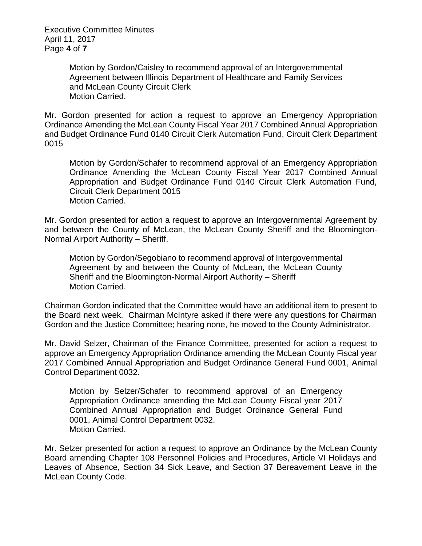Executive Committee Minutes April 11, 2017 Page **4** of **7**

> Motion by Gordon/Caisley to recommend approval of an Intergovernmental Agreement between Illinois Department of Healthcare and Family Services and McLean County Circuit Clerk Motion Carried.

Mr. Gordon presented for action a request to approve an Emergency Appropriation Ordinance Amending the McLean County Fiscal Year 2017 Combined Annual Appropriation and Budget Ordinance Fund 0140 Circuit Clerk Automation Fund, Circuit Clerk Department 0015

Motion by Gordon/Schafer to recommend approval of an Emergency Appropriation Ordinance Amending the McLean County Fiscal Year 2017 Combined Annual Appropriation and Budget Ordinance Fund 0140 Circuit Clerk Automation Fund, Circuit Clerk Department 0015 Motion Carried.

Mr. Gordon presented for action a request to approve an Intergovernmental Agreement by and between the County of McLean, the McLean County Sheriff and the Bloomington-Normal Airport Authority – Sheriff.

Motion by Gordon/Segobiano to recommend approval of Intergovernmental Agreement by and between the County of McLean, the McLean County Sheriff and the Bloomington-Normal Airport Authority – Sheriff Motion Carried.

Chairman Gordon indicated that the Committee would have an additional item to present to the Board next week. Chairman McIntyre asked if there were any questions for Chairman Gordon and the Justice Committee; hearing none, he moved to the County Administrator.

Mr. David Selzer, Chairman of the Finance Committee, presented for action a request to approve an Emergency Appropriation Ordinance amending the McLean County Fiscal year 2017 Combined Annual Appropriation and Budget Ordinance General Fund 0001, Animal Control Department 0032.

Motion by Selzer/Schafer to recommend approval of an Emergency Appropriation Ordinance amending the McLean County Fiscal year 2017 Combined Annual Appropriation and Budget Ordinance General Fund 0001, Animal Control Department 0032. Motion Carried.

Mr. Selzer presented for action a request to approve an Ordinance by the McLean County Board amending Chapter 108 Personnel Policies and Procedures, Article VI Holidays and Leaves of Absence, Section 34 Sick Leave, and Section 37 Bereavement Leave in the McLean County Code.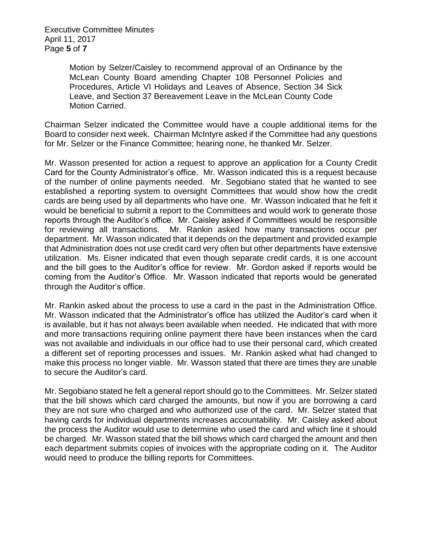Executive Committee Minutes April 11, 2017 Page **5** of **7**

> Motion by Selzer/Caisley to recommend approval of an Ordinance by the McLean County Board amending Chapter 108 Personnel Policies and Procedures, Article VI Holidays and Leaves of Absence, Section 34 Sick Leave, and Section 37 Bereavement Leave in the McLean County Code Motion Carried.

Chairman Selzer indicated the Committee would have a couple additional items for the Board to consider next week. Chairman McIntyre asked if the Committee had any questions for Mr. Selzer or the Finance Committee; hearing none, he thanked Mr. Selzer.

Mr. Wasson presented for action a request to approve an application for a County Credit Card for the County Administrator's office. Mr. Wasson indicated this is a request because of the number of online payments needed. Mr. Segobiano stated that he wanted to see established a reporting system to oversight Committees that would show how the credit cards are being used by all departments who have one. Mr. Wasson indicated that he felt it would be beneficial to submit a report to the Committees and would work to generate those reports through the Auditor's office. Mr. Caisley asked if Committees would be responsible for reviewing all transactions. Mr. Rankin asked how many transactions occur per department. Mr. Wasson indicated that it depends on the department and provided example that Administration does not use credit card very often but other departments have extensive utilization. Ms. Eisner indicated that even though separate credit cards, it is one account and the bill goes to the Auditor's office for review. Mr. Gordon asked if reports would be coming from the Auditor's Office. Mr. Wasson indicated that reports would be generated through the Auditor's office.

Mr. Rankin asked about the process to use a card in the past in the Administration Office. Mr. Wasson indicated that the Administrator's office has utilized the Auditor's card when it is available, but it has not always been available when needed. He indicated that with more and more transactions requiring online payment there have been instances when the card was not available and individuals in our office had to use their personal card, which created a different set of reporting processes and issues. Mr. Rankin asked what had changed to make this process no longer viable. Mr. Wasson stated that there are times they are unable to secure the Auditor's card.

Mr. Segobiano stated he felt a general report should go to the Committees. Mr. Selzer stated that the bill shows which card charged the amounts, but now if you are borrowing a card they are not sure who charged and who authorized use of the card. Mr. Selzer stated that having cards for individual departments increases accountability. Mr. Caisley asked about the process the Auditor would use to determine who used the card and which line it should be charged. Mr. Wasson stated that the bill shows which card charged the amount and then each department submits copies of invoices with the appropriate coding on it. The Auditor would need to produce the billing reports for Committees.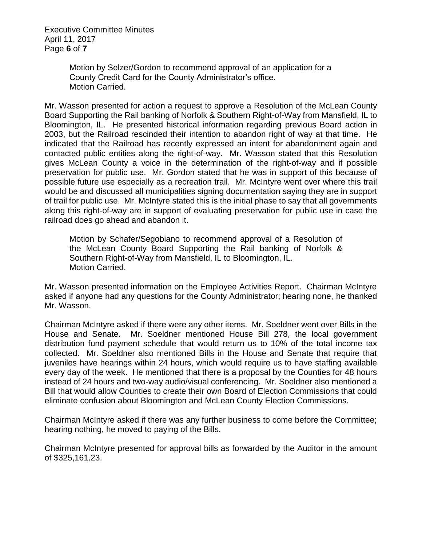Executive Committee Minutes April 11, 2017 Page **6** of **7**

> Motion by Selzer/Gordon to recommend approval of an application for a County Credit Card for the County Administrator's office. Motion Carried.

Mr. Wasson presented for action a request to approve a Resolution of the McLean County Board Supporting the Rail banking of Norfolk & Southern Right-of-Way from Mansfield, IL to Bloomington, IL. He presented historical information regarding previous Board action in 2003, but the Railroad rescinded their intention to abandon right of way at that time. He indicated that the Railroad has recently expressed an intent for abandonment again and contacted public entities along the right-of-way. Mr. Wasson stated that this Resolution gives McLean County a voice in the determination of the right-of-way and if possible preservation for public use. Mr. Gordon stated that he was in support of this because of possible future use especially as a recreation trail. Mr. McIntyre went over where this trail would be and discussed all municipalities signing documentation saying they are in support of trail for public use. Mr. McIntyre stated this is the initial phase to say that all governments along this right-of-way are in support of evaluating preservation for public use in case the railroad does go ahead and abandon it.

Motion by Schafer/Segobiano to recommend approval of a Resolution of the McLean County Board Supporting the Rail banking of Norfolk & Southern Right-of-Way from Mansfield, IL to Bloomington, IL. Motion Carried.

Mr. Wasson presented information on the Employee Activities Report. Chairman McIntyre asked if anyone had any questions for the County Administrator; hearing none, he thanked Mr. Wasson.

Chairman McIntyre asked if there were any other items. Mr. Soeldner went over Bills in the House and Senate. Mr. Soeldner mentioned House Bill 278, the local government distribution fund payment schedule that would return us to 10% of the total income tax collected. Mr. Soeldner also mentioned Bills in the House and Senate that require that juveniles have hearings within 24 hours, which would require us to have staffing available every day of the week. He mentioned that there is a proposal by the Counties for 48 hours instead of 24 hours and two-way audio/visual conferencing. Mr. Soeldner also mentioned a Bill that would allow Counties to create their own Board of Election Commissions that could eliminate confusion about Bloomington and McLean County Election Commissions.

Chairman McIntyre asked if there was any further business to come before the Committee; hearing nothing, he moved to paying of the Bills.

Chairman McIntyre presented for approval bills as forwarded by the Auditor in the amount of \$325,161.23.